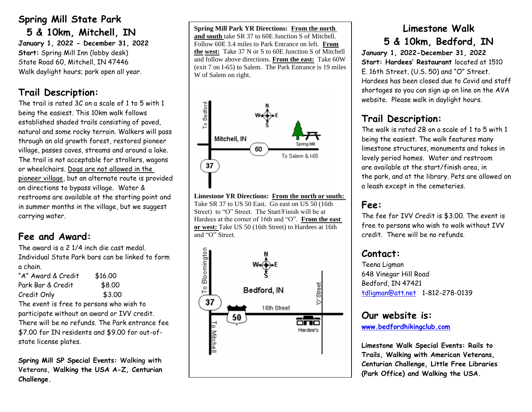## **Spring Mill State Park**

 **5 & 10km, Mitchell, IN January 1, 2022 - December 31, 2022 Start:** Spring Mill Inn (lobby desk) State Road 60, Mitchell, IN 47446 Walk daylight hours; park open all year.

# **Trail Description:**

The trail is rated 3C on a scale of 1 to 5 with 1 being the easiest. This 10km walk follows established shaded trails consisting of paved, natural and some rocky terrain. Walkers will pass through an old growth forest, restored pioneer village, passes caves, streams and around a lake. The trail is not acceptable for strollers, wagons or wheelchairs. Dogs are not allowed in the pioneer village, but an alternate route is provided on directions to bypass village. Water & restrooms are available at the starting point and in summer months in the village, but we suggest carrying water.

## **Fee and Award:**

The award is a 2 1/4 inch die cast medal. Individual State Park bars can be linked to form a chain.

| "A" Award & Credit | \$16.00 |
|--------------------|---------|
| Park Bar & Credit  | \$8.00  |
| Credit Only        | \$3.00  |

The event is free to persons who wish to participate without an award or IVV credit. There will be no refunds. The Park entrance fee \$7.00 for IN residents and \$9.00 for out-ofstate license plates.

**Spring Mill SP Special Events: Walking with Veterans, Walking the USA A-Z, Centurian Challenge.**

**Spring Mill Park YR Directions: From the north and south** take SR 37 to 60E Junction S of Mitchell. Follow 60E 3.4 miles to Park Entrance on left. **From the west:** Take 37 N or S to 60E Junction S of Mitchell and follow above directions. **From the east:** Take 60W (exit 7 on I-65) to Salem. The Park Entrance is 19 miles W of Salem on right.



**Limestone YR Directions: From the north or south:** Take SR 37 to US 50 East. Go east on US 50 (16th Street) to "O" Street. The Start/Finish will be at Hardees at the corner of 16th and "O". **From the east or west:** Take US 50 (16th Street) to Hardees at 16th and "O" Street.



# **Limestone Walk 5 & 10km, Bedford, IN**

**January 1, 2022-December 31, 2022 Start: Hardees' Restaurant** located at 1510 E. 16th Street, (U.S. 50) and "O" Street. Hardees has been closed due to Covid and staff shortages so you can sign up on line on the AVA website. Please walk in daylight hours.

# **Trail Description:**

The walk is rated 2B on a scale of 1 to 5 with 1 being the easiest. The walk features many limestone structures, monuments and takes in lovely period homes. Water and restroom are available at the start/finish area, in the park, and at the library. Pets are allowed on a leash except in the cemeteries.

## **Fee:**

The fee for IVV Credit is \$3.00. The event is free to persons who wish to walk without IVV credit. There will be no refunds.

#### **Contact:**

Teena Ligman 648 Vinegar Hill Road Bedford, IN 47421 [tdligman@att.net](mailto:tdligman@att.net) 1-812-278-0139

#### **Our website is:**

**www.bedfordhikingclub.com**

**Limestone Walk Special Events: Rails to Trails, Walking with American Veterans, Centurian Challenge, Little Free Libraries (Park Office) and Walking the USA.**